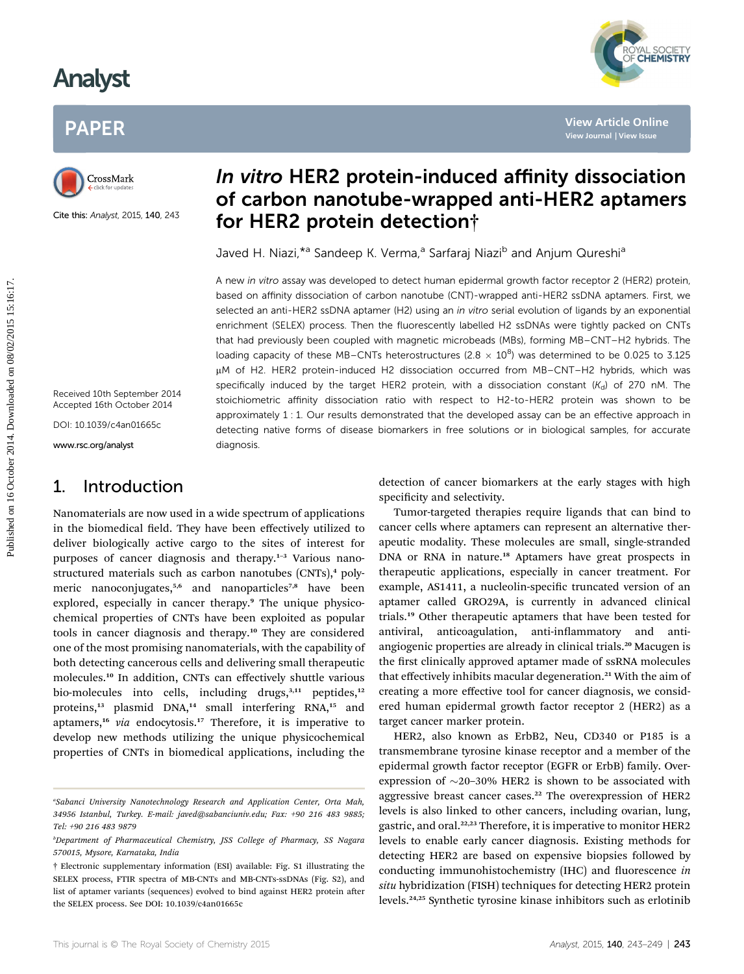# Analyst

## PAPER



Cite this: Analyst, 2015, 140, 243

In vitro HER2 protein-induced affinity dissociation of carbon nanotube-wrapped anti-HER2 aptamers for HER2 protein detection†

Javed H. Niazi, \*a Sandeep K. Verma, a Sarfaraj Niazib and Anjum Qureshia

A new in vitro assay was developed to detect human epidermal growth factor receptor 2 (HER2) protein, based on affinity dissociation of carbon nanotube (CNT)-wrapped anti-HER2 ssDNA aptamers. First, we selected an anti-HER2 ssDNA aptamer (H2) using an in vitro serial evolution of ligands by an exponential enrichment (SELEX) process. Then the fluorescently labelled H2 ssDNAs were tightly packed on CNTs that had previously been coupled with magnetic microbeads (MBs), forming MB–CNT–H2 hybrids. The loading capacity of these MB–CNTs heterostructures (2.8  $\times$  10<sup>8</sup>) was determined to be 0.025 to 3.125 µM of H2. HER2 protein-induced H2 dissociation occurred from MB-CNT-H2 hybrids, which was specifically induced by the target HER2 protein, with a dissociation constant  $(K<sub>cl</sub>)$  of 270 nM. The stoichiometric affinity dissociation ratio with respect to H2-to-HER2 protein was shown to be approximately 1 : 1. Our results demonstrated that the developed assay can be an effective approach in detecting native forms of disease biomarkers in free solutions or in biological samples, for accurate diagnosis. **PAPER**<br> **Published on 16 October 2014.**<br> **Published on 16 October 2014.**<br> **Published on 16 October 2014.**<br> **Published on 16 October 2014.**<br>
A new invito assay was developed to detect thorna replement growth factor recepto

Received 10th September 2014 Accepted 16th October 2014

DOI: 10.1039/c4an01665c

www.rsc.org/analyst

### 1. Introduction

Nanomaterials are now used in a wide spectrum of applications in the biomedical field. They have been effectively utilized to deliver biologically active cargo to the sites of interest for purposes of cancer diagnosis and therapy.<sup>1-3</sup> Various nanostructured materials such as carbon nanotubes (CNTs),<sup>4</sup> polymeric nanoconjugates,<sup>5,6</sup> and nanoparticles<sup>7,8</sup> have been explored, especially in cancer therapy.<sup>9</sup> The unique physicochemical properties of CNTs have been exploited as popular tools in cancer diagnosis and therapy.<sup>10</sup> They are considered one of the most promising nanomaterials, with the capability of both detecting cancerous cells and delivering small therapeutic molecules.<sup>10</sup> In addition, CNTs can effectively shuttle various bio-molecules into cells, including drugs,<sup>3,11</sup> peptides,<sup>12</sup> proteins,<sup>13</sup> plasmid DNA,<sup>14</sup> small interfering RNA,<sup>15</sup> and aptamers,<sup>16</sup> via endocytosis.<sup>17</sup> Therefore, it is imperative to develop new methods utilizing the unique physicochemical properties of CNTs in biomedical applications, including the detection of cancer biomarkers at the early stages with high specificity and selectivity.

YAL SOCIETY<br>**CHEMISTRY** 

Tumor-targeted therapies require ligands that can bind to cancer cells where aptamers can represent an alternative therapeutic modality. These molecules are small, single-stranded DNA or RNA in nature.<sup>18</sup> Aptamers have great prospects in therapeutic applications, especially in cancer treatment. For example, AS1411, a nucleolin-specific truncated version of an aptamer called GRO29A, is currently in advanced clinical trials.<sup>19</sup> Other therapeutic aptamers that have been tested for antiviral, anticoagulation, anti-inflammatory and antiangiogenic properties are already in clinical trials.<sup>20</sup> Macugen is the first clinically approved aptamer made of ssRNA molecules that effectively inhibits macular degeneration.<sup>21</sup> With the aim of creating a more effective tool for cancer diagnosis, we considered human epidermal growth factor receptor 2 (HER2) as a target cancer marker protein.

HER2, also known as ErbB2, Neu, CD340 or P185 is a transmembrane tyrosine kinase receptor and a member of the epidermal growth factor receptor (EGFR or ErbB) family. Overexpression of  $\sim$ 20–30% HER2 is shown to be associated with aggressive breast cancer cases.<sup>22</sup> The overexpression of HER2 levels is also linked to other cancers, including ovarian, lung, gastric, and oral.<sup>22,23</sup> Therefore, it is imperative to monitor HER2 levels to enable early cancer diagnosis. Existing methods for detecting HER2 are based on expensive biopsies followed by conducting immunohistochemistry (IHC) and fluorescence in situ hybridization (FISH) techniques for detecting HER2 protein levels.24,25 Synthetic tyrosine kinase inhibitors such as erlotinib

a Sabanci University Nanotechnology Research and Application Center, Orta Mah, 34956 Istanbul, Turkey. E-mail: javed@sabanciuniv.edu; Fax: +90 216 483 9885; Tel: +90 216 483 9879

b Department of Pharmaceutical Chemistry, JSS College of Pharmacy, SS Nagara 570015, Mysore, Karnataka, India

<sup>†</sup> Electronic supplementary information (ESI) available: Fig. S1 illustrating the SELEX process, FTIR spectra of MB-CNTs and MB-CNTs-ssDNAs (Fig. S2), and list of aptamer variants (sequences) evolved to bind against HER2 protein after the SELEX process. See DOI: 10.1039/c4an01665c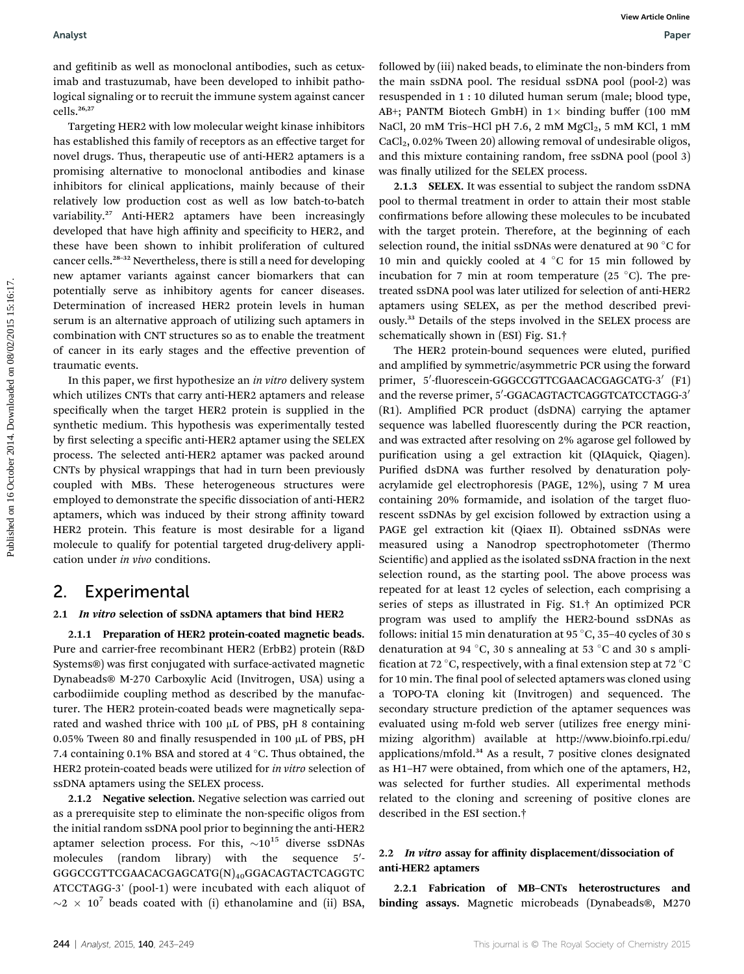and gefitinib as well as monoclonal antibodies, such as cetuximab and trastuzumab, have been developed to inhibit pathological signaling or to recruit the immune system against cancer cells.26,27

Targeting HER2 with low molecular weight kinase inhibitors has established this family of receptors as an effective target for novel drugs. Thus, therapeutic use of anti-HER2 aptamers is a promising alternative to monoclonal antibodies and kinase inhibitors for clinical applications, mainly because of their relatively low production cost as well as low batch-to-batch variability.<sup>27</sup> Anti-HER2 aptamers have been increasingly developed that have high affinity and specificity to HER2, and these have been shown to inhibit proliferation of cultured cancer cells.<sup>28-32</sup> Nevertheless, there is still a need for developing new aptamer variants against cancer biomarkers that can potentially serve as inhibitory agents for cancer diseases. Determination of increased HER2 protein levels in human serum is an alternative approach of utilizing such aptamers in combination with CNT structures so as to enable the treatment of cancer in its early stages and the effective prevention of traumatic events. Analyst<br>
and geditinib as well as monoclonal antibodies, such as eeuaw followed by [iiji raked beads, to eliminate the non-binders from<br>
the base and transvarianty have been developed to initial pathod to minital system as

In this paper, we first hypothesize an in vitro delivery system which utilizes CNTs that carry anti-HER2 aptamers and release specifically when the target HER2 protein is supplied in the synthetic medium. This hypothesis was experimentally tested by first selecting a specific anti-HER2 aptamer using the SELEX process. The selected anti-HER2 aptamer was packed around CNTs by physical wrappings that had in turn been previously coupled with MBs. These heterogeneous structures were employed to demonstrate the specific dissociation of anti-HER2 aptamers, which was induced by their strong affinity toward HER2 protein. This feature is most desirable for a ligand molecule to qualify for potential targeted drug-delivery application under in vivo conditions.

### 2. Experimental

#### 2.1 In vitro selection of ssDNA aptamers that bind HER2

2.1.1 Preparation of HER2 protein-coated magnetic beads. Pure and carrier-free recombinant HER2 (ErbB2) protein (R&D Systems®) was first conjugated with surface-activated magnetic Dynabeads® M-270 Carboxylic Acid (Invitrogen, USA) using a carbodiimide coupling method as described by the manufacturer. The HER2 protein-coated beads were magnetically separated and washed thrice with 100 µL of PBS, pH 8 containing 0.05% Tween 80 and finally resuspended in 100  $\mu$ L of PBS, pH 7.4 containing 0.1% BSA and stored at 4 °C. Thus obtained, the HER2 protein-coated beads were utilized for in vitro selection of ssDNA aptamers using the SELEX process.

2.1.2 Negative selection. Negative selection was carried out as a prerequisite step to eliminate the non-specific oligos from the initial random ssDNA pool prior to beginning the anti-HER2 aptamer selection process. For this,  $\sim 10^{15}$  diverse ssDNAs molecules (random library) with the sequence 5'-(random library)  $5'$ -GGGCCGTTCGAACACGAGCATG(N)40GGACAGTACTCAGGTC ATCCTAGG-3' (pool-1) were incubated with each aliquot of  $\sim$ 2  $\times$  10<sup>7</sup> beads coated with (i) ethanolamine and (ii) BSA,

followed by (iii) naked beads, to eliminate the non-binders from the main ssDNA pool. The residual ssDNA pool (pool-2) was resuspended in 1 : 10 diluted human serum (male; blood type, AB+; PANTM Biotech GmbH) in  $1 \times$  binding buffer (100 mM NaCl, 20 mM Tris-HCl pH 7.6, 2 mM  $MgCl<sub>2</sub>$ , 5 mM KCl, 1 mM  $CaCl<sub>2</sub>$ , 0.02% Tween 20) allowing removal of undesirable oligos, and this mixture containing random, free ssDNA pool (pool 3) was finally utilized for the SELEX process.

2.1.3 SELEX. It was essential to subject the random ssDNA pool to thermal treatment in order to attain their most stable confirmations before allowing these molecules to be incubated with the target protein. Therefore, at the beginning of each selection round, the initial ssDNAs were denatured at 90 $\degree$ C for 10 min and quickly cooled at 4  $\degree$ C for 15 min followed by incubation for 7 min at room temperature  $(25 °C)$ . The pretreated ssDNA pool was later utilized for selection of anti-HER2 aptamers using SELEX, as per the method described previously.<sup>33</sup> Details of the steps involved in the SELEX process are schematically shown in (ESI) Fig. S1.†

The HER2 protein-bound sequences were eluted, purified and amplified by symmetric/asymmetric PCR using the forward primer, 5'-fluorescein-GGGCCGTTCGAACACGAGCATG-3' (F1) and the reverse primer, 5′-GGACAGTACTCAGGTCATCCTAGG-3′ (R1). Amplied PCR product (dsDNA) carrying the aptamer sequence was labelled fluorescently during the PCR reaction, and was extracted after resolving on 2% agarose gel followed by purification using a gel extraction kit (QIAquick, Qiagen). Purified dsDNA was further resolved by denaturation polyacrylamide gel electrophoresis (PAGE, 12%), using 7 M urea containing 20% formamide, and isolation of the target fluorescent ssDNAs by gel excision followed by extraction using a PAGE gel extraction kit (Qiaex II). Obtained ssDNAs were measured using a Nanodrop spectrophotometer (Thermo Scientific) and applied as the isolated ssDNA fraction in the next selection round, as the starting pool. The above process was repeated for at least 12 cycles of selection, each comprising a series of steps as illustrated in Fig. S1.† An optimized PCR program was used to amplify the HER2-bound ssDNAs as follows: initial 15 min denaturation at 95 °C, 35-40 cycles of 30 s denaturation at 94 °C, 30 s annealing at 53 °C and 30 s amplification at 72 °C, respectively, with a final extension step at 72 °C for 10 min. The final pool of selected aptamers was cloned using a TOPO-TA cloning kit (Invitrogen) and sequenced. The secondary structure prediction of the aptamer sequences was evaluated using m-fold web server (utilizes free energy minimizing algorithm) available at http://www.bioinfo.rpi.edu/ applications/mfold.<sup>34</sup> As a result, 7 positive clones designated as H1–H7 were obtained, from which one of the aptamers, H2, was selected for further studies. All experimental methods related to the cloning and screening of positive clones are described in the ESI section.†

#### 2.2 In vitro assay for affinity displacement/dissociation of anti-HER2 aptamers

2.2.1 Fabrication of MB–CNTs heterostructures and binding assays. Magnetic microbeads (Dynabeads®, M270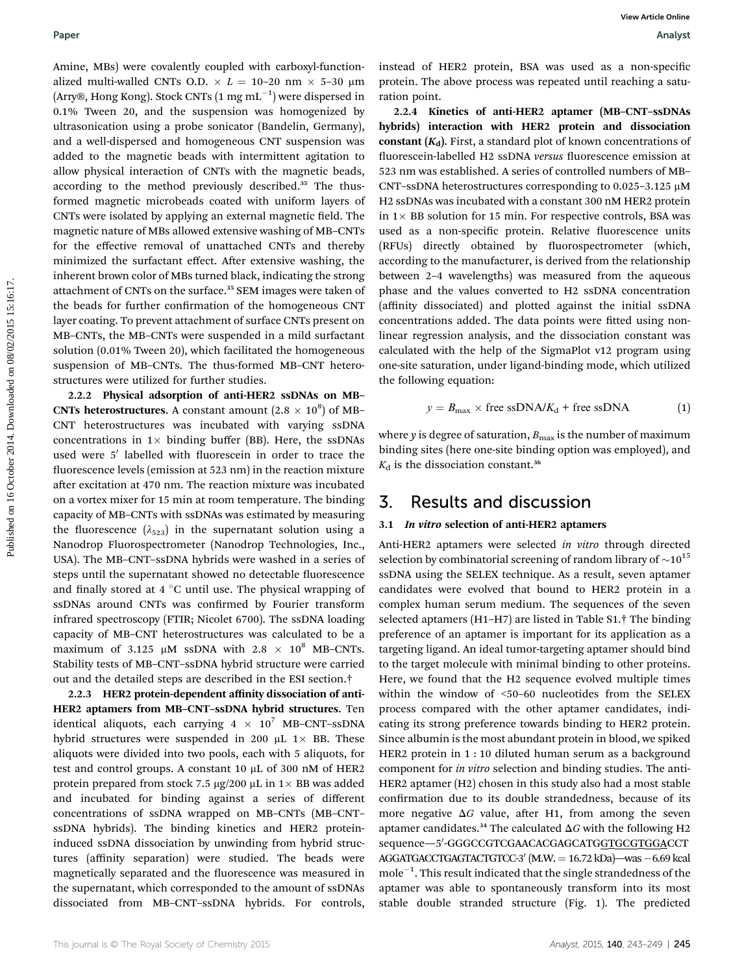Amine, MBs) were covalently coupled with carboxyl-functionalized multi-walled CNTs O.D.  $\times L = 10-20$  nm  $\times$  5-30 µm (Arry®, Hong Kong). Stock CNTs  $(1 \text{ mg} \text{ mL}^{-1})$  were dispersed in 0.1% Tween 20, and the suspension was homogenized by ultrasonication using a probe sonicator (Bandelin, Germany), and a well-dispersed and homogeneous CNT suspension was added to the magnetic beads with intermittent agitation to allow physical interaction of CNTs with the magnetic beads, according to the method previously described.<sup>35</sup> The thusformed magnetic microbeads coated with uniform layers of CNTs were isolated by applying an external magnetic field. The magnetic nature of MBs allowed extensive washing of MB–CNTs for the effective removal of unattached CNTs and thereby minimized the surfactant effect. After extensive washing, the inherent brown color of MBs turned black, indicating the strong attachment of CNTs on the surface.<sup>35</sup> SEM images were taken of the beads for further confirmation of the homogeneous CNT layer coating. To prevent attachment of surface CNTs present on MB–CNTs, the MB–CNTs were suspended in a mild surfactant solution (0.01% Tween 20), which facilitated the homogeneous suspension of MB–CNTs. The thus-formed MB–CNT heterostructures were utilized for further studies. Paper<br>
Manine, Mils) were covalendly coupled with carboxyl-function-<br>
instead of HIRS protein, BSM was used as a non-specified<br>
interd model of NY Octo  $N = 100$  2014. Deviation and the supercordinate of HIRS present and t

2.2.2 Physical adsorption of anti-HER2 ssDNAs on MB– **CNTs heterostructures.** A constant amount  $(2.8 \times 10^8)$  of MB-CNT heterostructures was incubated with varying ssDNA concentrations in  $1 \times$  binding buffer (BB). Here, the ssDNAs used were 5' labelled with fluorescein in order to trace the fluorescence levels (emission at 523 nm) in the reaction mixture after excitation at 470 nm. The reaction mixture was incubated on a vortex mixer for 15 min at room temperature. The binding capacity of MB–CNTs with ssDNAs was estimated by measuring the fluorescence  $(\lambda_{523})$  in the supernatant solution using a Nanodrop Fluorospectrometer (Nanodrop Technologies, Inc., USA). The MB–CNT–ssDNA hybrids were washed in a series of steps until the supernatant showed no detectable fluorescence and finally stored at  $4^{\circ}$ C until use. The physical wrapping of ssDNAs around CNTs was confirmed by Fourier transform infrared spectroscopy (FTIR; Nicolet 6700). The ssDNA loading capacity of MB–CNT heterostructures was calculated to be a maximum of 3.125  $\mu$ M ssDNA with 2.8  $\times$  10<sup>8</sup> MB–CNTs. Stability tests of MB–CNT–ssDNA hybrid structure were carried out and the detailed steps are described in the ESI section.†

2.2.3 HER2 protein-dependent affinity dissociation of anti-HER2 aptamers from MB–CNT–ssDNA hybrid structures. Ten identical aliquots, each carrying  $4 \times 10^7$  MB-CNT-ssDNA hybrid structures were suspended in 200  $\mu$ L 1 $\times$  BB. These aliquots were divided into two pools, each with 5 aliquots, for test and control groups. A constant 10  $\mu$ L of 300 nM of HER2 protein prepared from stock 7.5  $\mu$ g/200  $\mu$ L in 1  $\times$  BB was added and incubated for binding against a series of different concentrations of ssDNA wrapped on MB–CNTs (MB–CNT– ssDNA hybrids). The binding kinetics and HER2 proteininduced ssDNA dissociation by unwinding from hybrid structures (affinity separation) were studied. The beads were magnetically separated and the fluorescence was measured in the supernatant, which corresponded to the amount of ssDNAs dissociated from MB–CNT–ssDNA hybrids. For controls,

instead of HER2 protein, BSA was used as a non-specific protein. The above process was repeated until reaching a saturation point.

2.2.4 Kinetics of anti-HER2 aptamer (MB–CNT–ssDNAs hybrids) interaction with HER2 protein and dissociation constant  $(K_d)$ . First, a standard plot of known concentrations of fluorescein-labelled H2 ssDNA versus fluorescence emission at 523 nm was established. A series of controlled numbers of MB– CNT-ssDNA heterostructures corresponding to  $0.025-3.125 \mu M$ H2 ssDNAs was incubated with a constant 300 nM HER2 protein in  $1 \times$  BB solution for 15 min. For respective controls, BSA was used as a non-specific protein. Relative fluorescence units (RFUs) directly obtained by fluorospectrometer (which, according to the manufacturer, is derived from the relationship between 2–4 wavelengths) was measured from the aqueous phase and the values converted to H2 ssDNA concentration (affinity dissociated) and plotted against the initial ssDNA concentrations added. The data points were fitted using nonlinear regression analysis, and the dissociation constant was calculated with the help of the SigmaPlot v12 program using one-site saturation, under ligand-binding mode, which utilized the following equation:

$$
y = B_{\text{max}} \times \text{free ssDNA}/K_{\text{d}} + \text{free ssDNA} \tag{1}
$$

where  $y$  is degree of saturation,  $B_{\text{max}}$  is the number of maximum binding sites (here one-site binding option was employed), and  $K_d$  is the dissociation constant.<sup>36</sup>

### 3. Results and discussion

#### 3.1 In vitro selection of anti-HER2 aptamers

Anti-HER2 aptamers were selected in vitro through directed selection by combinatorial screening of random library of  $\sim$ 10<sup>15</sup> ssDNA using the SELEX technique. As a result, seven aptamer candidates were evolved that bound to HER2 protein in a complex human serum medium. The sequences of the seven selected aptamers (H1–H7) are listed in Table S1.† The binding preference of an aptamer is important for its application as a targeting ligand. An ideal tumor-targeting aptamer should bind to the target molecule with minimal binding to other proteins. Here, we found that the H2 sequence evolved multiple times within the window of <50–60 nucleotides from the SELEX process compared with the other aptamer candidates, indicating its strong preference towards binding to HER2 protein. Since albumin is the most abundant protein in blood, we spiked HER2 protein in 1 : 10 diluted human serum as a background component for in vitro selection and binding studies. The anti-HER2 aptamer (H2) chosen in this study also had a most stable confirmation due to its double strandedness, because of its more negative  $\Delta G$  value, after H1, from among the seven aptamer candidates.<sup>34</sup> The calculated  $\Delta G$  with the following H2 sequence—5'-GGGCCGTCGAACACGAGCATG<u>GTGCGTGGA</u>CCT  $AGGATGACCTGAGTACTGTCC-3' (M.W. = 16.72 kDa)$ —was  $-6.69$  kcal  $\text{mole}^{-1}$ . This result indicated that the single strandedness of the aptamer was able to spontaneously transform into its most stable double stranded structure (Fig. 1). The predicted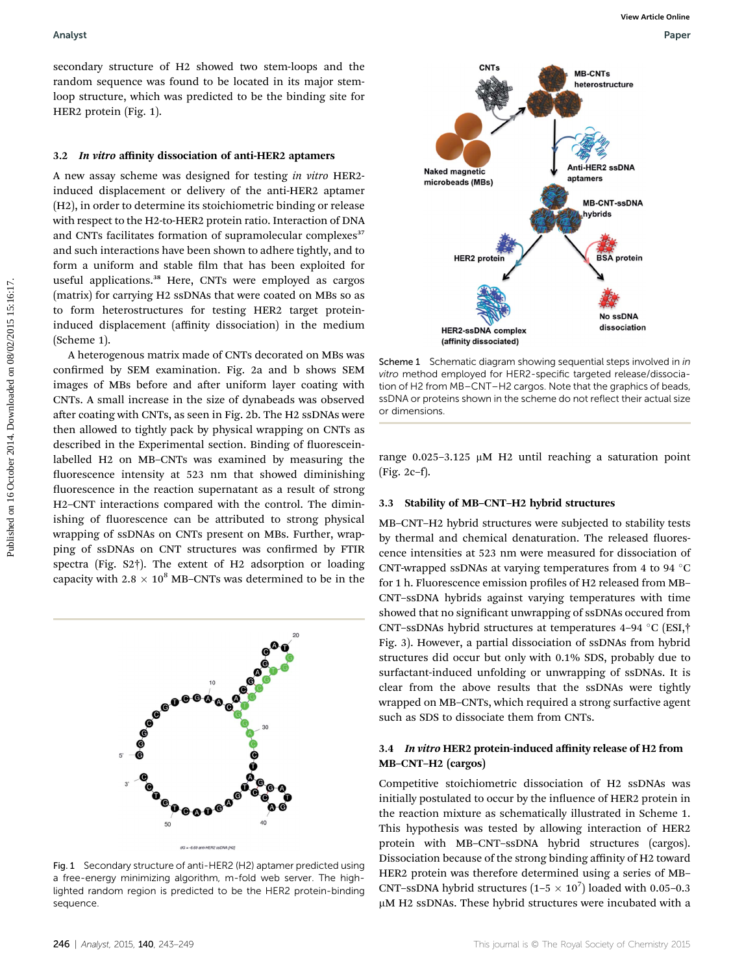secondary structure of H2 showed two stem-loops and the random sequence was found to be located in its major stemloop structure, which was predicted to be the binding site for HER2 protein (Fig. 1).

#### 3.2 In vitro affinity dissociation of anti-HER2 aptamers

A new assay scheme was designed for testing in vitro HER2 induced displacement or delivery of the anti-HER2 aptamer (H2), in order to determine its stoichiometric binding or release with respect to the H2-to-HER2 protein ratio. Interaction of DNA and CNTs facilitates formation of supramolecular complexes<sup>37</sup> and such interactions have been shown to adhere tightly, and to form a uniform and stable film that has been exploited for useful applications.<sup>38</sup> Here, CNTs were employed as cargos (matrix) for carrying H2 ssDNAs that were coated on MBs so as to form heterostructures for testing HER2 target proteininduced displacement (affinity dissociation) in the medium (Scheme 1).

A heterogenous matrix made of CNTs decorated on MBs was confirmed by SEM examination. Fig. 2a and b shows SEM images of MBs before and after uniform layer coating with CNTs. A small increase in the size of dynabeads was observed after coating with CNTs, as seen in Fig. 2b. The H2 ssDNAs were then allowed to tightly pack by physical wrapping on CNTs as described in the Experimental section. Binding of fluoresceinlabelled H2 on MB–CNTs was examined by measuring the fluorescence intensity at 523 nm that showed diminishing fluorescence in the reaction supernatant as a result of strong H2–CNT interactions compared with the control. The diminishing of fluorescence can be attributed to strong physical wrapping of ssDNAs on CNTs present on MBs. Further, wrapping of ssDNAs on CNT structures was confirmed by FTIR spectra (Fig. S2†). The extent of H2 adsorption or loading capacity with 2.8  $\times$  10<sup>8</sup> MB–CNTs was determined to be in the



Fig. 1 Secondary structure of anti-HER2 (H2) aptamer predicted using a free-energy minimizing algorithm, m-fold web server. The highlighted random region is predicted to be the HER2 protein-binding sequence.



Scheme 1 Schematic diagram showing sequential steps involved in in vitro method employed for HER2-specific targeted release/dissociation of H2 from MB–CNT–H2 cargos. Note that the graphics of beads, ssDNA or proteins shown in the scheme do not reflect their actual size or dimensions.

range  $0.025 - 3.125 \mu M$  H2 until reaching a saturation point (Fig. 2c–f).

#### 3.3 Stability of MB–CNT–H2 hybrid structures

MB–CNT–H2 hybrid structures were subjected to stability tests by thermal and chemical denaturation. The released fluorescence intensities at 523 nm were measured for dissociation of CNT-wrapped ssDNAs at varying temperatures from 4 to 94  $^{\circ}$ C for 1 h. Fluorescence emission profiles of H2 released from MB-CNT–ssDNA hybrids against varying temperatures with time showed that no significant unwrapping of ssDNAs occured from CNT-ssDNAs hybrid structures at temperatures 4-94 °C (ESI, $\dagger$ Fig. 3). However, a partial dissociation of ssDNAs from hybrid structures did occur but only with 0.1% SDS, probably due to surfactant-induced unfolding or unwrapping of ssDNAs. It is clear from the above results that the ssDNAs were tightly wrapped on MB–CNTs, which required a strong surfactive agent such as SDS to dissociate them from CNTs.

#### 3.4 In vitro HER2 protein-induced affinity release of H2 from MB–CNT–H2 (cargos)

Competitive stoichiometric dissociation of H2 ssDNAs was initially postulated to occur by the influence of HER2 protein in the reaction mixture as schematically illustrated in Scheme 1. This hypothesis was tested by allowing interaction of HER2 protein with MB–CNT–ssDNA hybrid structures (cargos). Dissociation because of the strong binding affinity of H2 toward HER2 protein was therefore determined using a series of MB– CNT–ssDNA hybrid structures  $(1-5 \times 10^7)$  loaded with 0.05–0.3  $\mu$ M H2 ssDNAs. These hybrid structures were incubated with a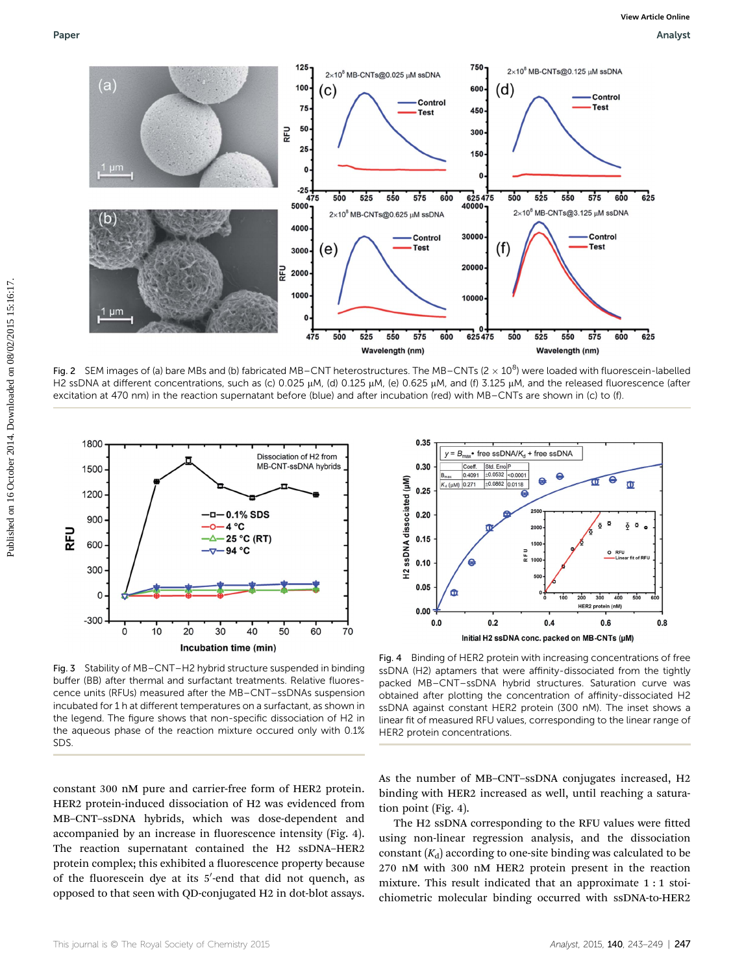

Fig. 2 SEM images of (a) bare MBs and (b) fabricated MB–CNT heterostructures. The MB–CNTs (2  $\times$  10<sup>8</sup>) were loaded with fluorescein-labelled H2 ssDNA at different concentrations, such as (c)  $0.025 \mu$ M, (d)  $0.125 \mu$ M, (e)  $0.625 \mu$ M, and (f) 3.125  $\mu$ M, and the released fluorescence (after excitation at 470 nm) in the reaction supernatant before (blue) and after incubation (red) with MB–CNTs are shown in (c) to (f).



Fig. 3 Stability of MB–CNT–H2 hybrid structure suspended in binding buffer (BB) after thermal and surfactant treatments. Relative fluorescence units (RFUs) measured after the MB–CNT–ssDNAs suspension incubated for 1 h at different temperatures on a surfactant, as shown in the legend. The figure shows that non-specific dissociation of H2 in the aqueous phase of the reaction mixture occured only with 0.1% SDS.

constant 300 nM pure and carrier-free form of HER2 protein. HER2 protein-induced dissociation of H2 was evidenced from MB–CNT–ssDNA hybrids, which was dose-dependent and accompanied by an increase in fluorescence intensity (Fig. 4). The reaction supernatant contained the H2 ssDNA–HER2 protein complex; this exhibited a fluorescence property because of the fluorescein dye at its 5'-end that did not quench, as opposed to that seen with QD-conjugated H2 in dot-blot assays.



Fig. 4 Binding of HER2 protein with increasing concentrations of free ssDNA (H2) aptamers that were affinity-dissociated from the tightly packed MB–CNT–ssDNA hybrid structures. Saturation curve was obtained after plotting the concentration of affinity-dissociated H2 ssDNA against constant HER2 protein (300 nM). The inset shows a linear fit of measured RFU values, corresponding to the linear range of HER2 protein concentrations.

As the number of MB–CNT–ssDNA conjugates increased, H2 binding with HER2 increased as well, until reaching a saturation point (Fig. 4).

The H2 ssDNA corresponding to the RFU values were fitted using non-linear regression analysis, and the dissociation constant  $(K_d)$  according to one-site binding was calculated to be 270 nM with 300 nM HER2 protein present in the reaction mixture. This result indicated that an approximate 1 : 1 stoichiometric molecular binding occurred with ssDNA-to-HER2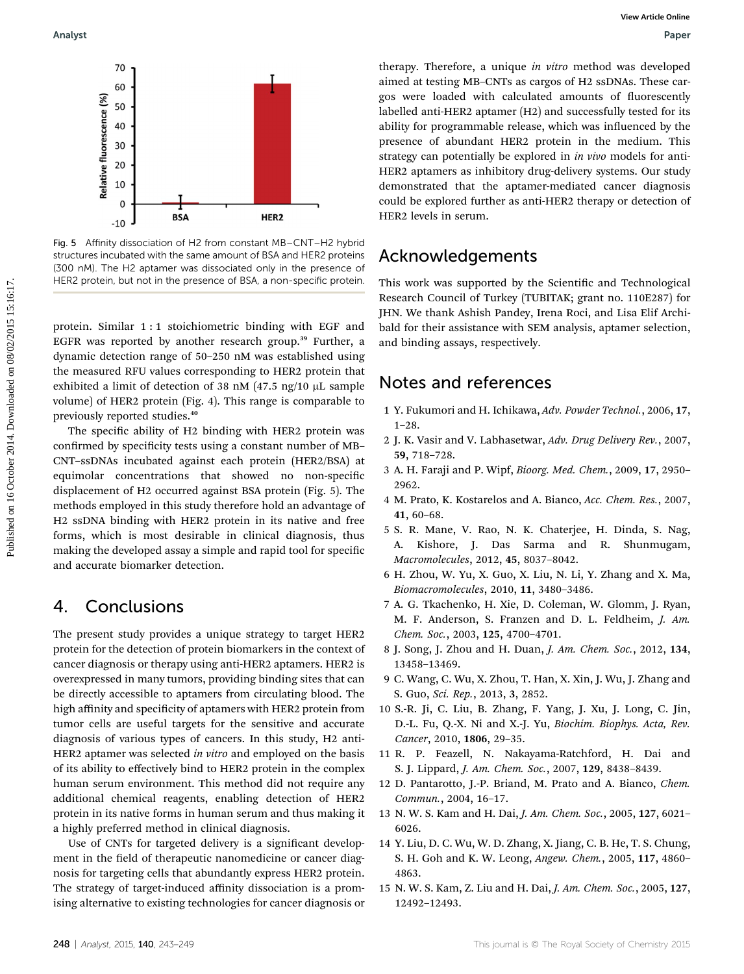

Fig. 5 Affinity dissociation of H2 from constant MB–CNT–H2 hybrid structures incubated with the same amount of BSA and HER2 proteins (300 nM). The H2 aptamer was dissociated only in the presence of HER2 protein, but not in the presence of BSA, a non-specific protein.

protein. Similar 1 : 1 stoichiometric binding with EGF and EGFR was reported by another research group.<sup>39</sup> Further, a dynamic detection range of 50–250 nM was established using the measured RFU values corresponding to HER2 protein that exhibited a limit of detection of 38 nM  $(47.5 \text{ ng}/10 \mu L \text{ sample})$ volume) of HER2 protein (Fig. 4). This range is comparable to previously reported studies.<sup>40</sup>

The specific ability of H2 binding with HER2 protein was confirmed by specificity tests using a constant number of MB-CNT–ssDNAs incubated against each protein (HER2/BSA) at equimolar concentrations that showed no non-specific displacement of H2 occurred against BSA protein (Fig. 5). The methods employed in this study therefore hold an advantage of H2 ssDNA binding with HER2 protein in its native and free forms, which is most desirable in clinical diagnosis, thus making the developed assay a simple and rapid tool for specific and accurate biomarker detection.

### 4. Conclusions

The present study provides a unique strategy to target HER2 protein for the detection of protein biomarkers in the context of cancer diagnosis or therapy using anti-HER2 aptamers. HER2 is overexpressed in many tumors, providing binding sites that can be directly accessible to aptamers from circulating blood. The high affinity and specificity of aptamers with HER2 protein from tumor cells are useful targets for the sensitive and accurate diagnosis of various types of cancers. In this study, H2 anti-HER2 aptamer was selected in vitro and employed on the basis of its ability to effectively bind to HER2 protein in the complex human serum environment. This method did not require any additional chemical reagents, enabling detection of HER2 protein in its native forms in human serum and thus making it a highly preferred method in clinical diagnosis.

Use of CNTs for targeted delivery is a significant development in the field of therapeutic nanomedicine or cancer diagnosis for targeting cells that abundantly express HER2 protein. The strategy of target-induced affinity dissociation is a promising alternative to existing technologies for cancer diagnosis or

therapy. Therefore, a unique in vitro method was developed aimed at testing MB–CNTs as cargos of H2 ssDNAs. These cargos were loaded with calculated amounts of fluorescently labelled anti-HER2 aptamer (H2) and successfully tested for its ability for programmable release, which was influenced by the presence of abundant HER2 protein in the medium. This strategy can potentially be explored in in vivo models for anti-HER2 aptamers as inhibitory drug-delivery systems. Our study demonstrated that the aptamer-mediated cancer diagnosis could be explored further as anti-HER2 therapy or detection of HER2 levels in serum. Analyst<br>
<sup>Pu</sup><br>
<sup>Papa</sup><br>
<sup>Papa</sup><br>
<sup>Papa</sup><br>
<sup>Papa</sup><br>
<sup>Papa</sup><br>
<sup>Papa</sup><br>
<sup>Papa</sup><br>
<sup>Papa</sup><br>
<sup>Papa</sup><br>
<sup>Papa</sup><br>
<sup>Papa</sup><br>
<sup>Papa</sup><br>
<sup>Papa</sup><br>
<sup>201</sup><br>
<sup>Day</sup><br>
<sup>Day</sup><br>
<sup>Day</sup><br>
<sup>Day</sup><br>
<sup>Day</sup><br>
<sup>Day</sup><br>
<sup>Day</sup><br>
<sup>Day</sup><br>
<sup>Day</sup><br>
<sup>Day</sup><br>
<sup>Day</sup><br>
<sup>Day</sup><br>
<sup>201</sup><br>
<sup>11</sup>

### Acknowledgements

This work was supported by the Scientific and Technological Research Council of Turkey (TUBITAK; grant no. 110E287) for JHN. We thank Ashish Pandey, Irena Roci, and Lisa Elif Archibald for their assistance with SEM analysis, aptamer selection, and binding assays, respectively.

### Notes and references

- 1 Y. Fukumori and H. Ichikawa, Adv. Powder Technol., 2006, 17, 1–28.
- 2 J. K. Vasir and V. Labhasetwar, Adv. Drug Delivery Rev., 2007, 59, 718–728.
- 3 A. H. Faraji and P. Wipf, Bioorg. Med. Chem., 2009, 17, 2950– 2962.
- 4 M. Prato, K. Kostarelos and A. Bianco, Acc. Chem. Res., 2007, 41, 60–68.
- 5 S. R. Mane, V. Rao, N. K. Chaterjee, H. Dinda, S. Nag, A. Kishore, J. Das Sarma and R. Shunmugam, Macromolecules, 2012, 45, 8037–8042.
- 6 H. Zhou, W. Yu, X. Guo, X. Liu, N. Li, Y. Zhang and X. Ma, Biomacromolecules, 2010, 11, 3480–3486.
- 7 A. G. Tkachenko, H. Xie, D. Coleman, W. Glomm, J. Ryan, M. F. Anderson, S. Franzen and D. L. Feldheim, J. Am. Chem. Soc., 2003, 125, 4700–4701.
- 8 J. Song, J. Zhou and H. Duan, J. Am. Chem. Soc., 2012, 134, 13458–13469.
- 9 C. Wang, C. Wu, X. Zhou, T. Han, X. Xin, J. Wu, J. Zhang and S. Guo, Sci. Rep., 2013, 3, 2852.
- 10 S.-R. Ji, C. Liu, B. Zhang, F. Yang, J. Xu, J. Long, C. Jin, D.-L. Fu, Q.-X. Ni and X.-J. Yu, Biochim. Biophys. Acta, Rev. Cancer, 2010, 1806, 29–35.
- 11 R. P. Feazell, N. Nakayama-Ratchford, H. Dai and S. J. Lippard, J. Am. Chem. Soc., 2007, 129, 8438–8439.
- 12 D. Pantarotto, J.-P. Briand, M. Prato and A. Bianco, Chem. Commun., 2004, 16–17.
- 13 N. W. S. Kam and H. Dai, J. Am. Chem. Soc., 2005, 127, 6021– 6026.
- 14 Y. Liu, D. C. Wu, W. D. Zhang, X. Jiang, C. B. He, T. S. Chung, S. H. Goh and K. W. Leong, Angew. Chem., 2005, 117, 4860– 4863.
- 15 N. W. S. Kam, Z. Liu and H. Dai, J. Am. Chem. Soc., 2005, 127, 12492–12493.